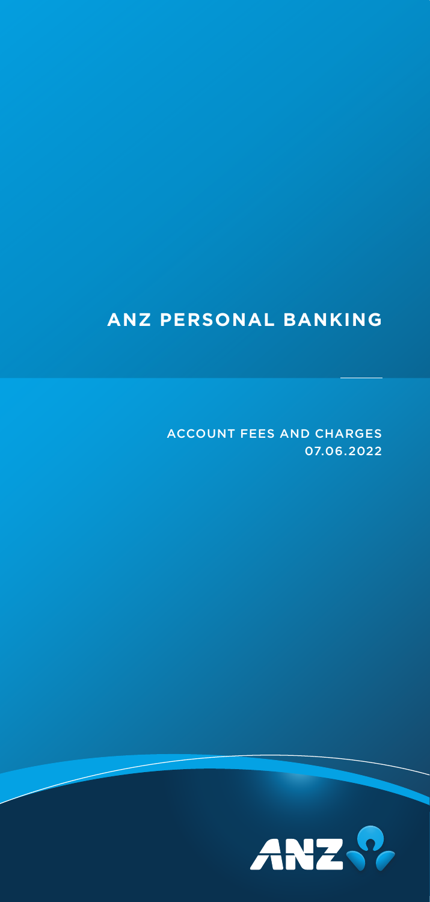## **ANZ PERSONAL BANKING**

ACCOUNT FEES AND CHARGES 07.06.2022

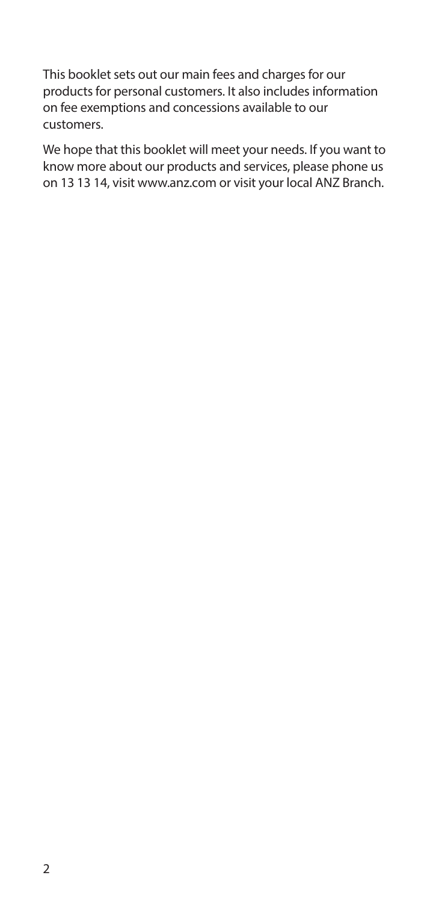This booklet sets out our main fees and charges for our products for personal customers. It also includes information on fee exemptions and concessions available to our customers.

We hope that this booklet will meet your needs. If you want to know more about our products and services, please phone us on 13 13 14, visit [www.anz.com](http://www.anz.com) or visit your local ANZ Branch.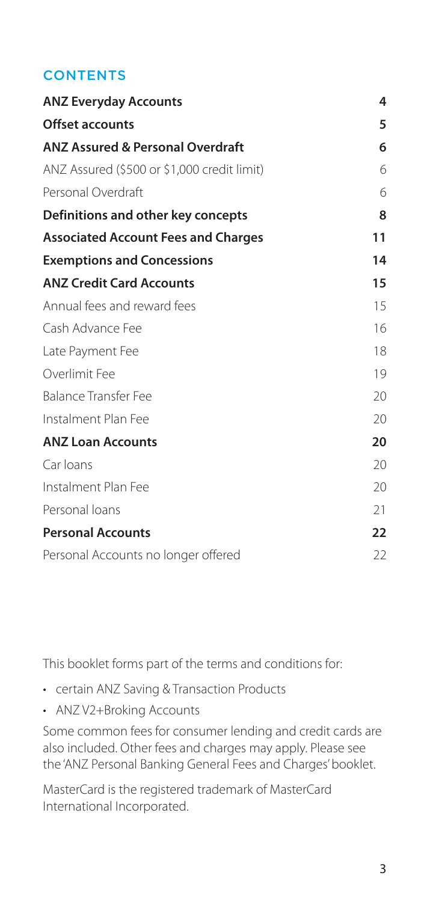### **CONTENTS**

| <b>ANZ Everyday Accounts</b>                | 4  |
|---------------------------------------------|----|
| <b>Offset accounts</b>                      | 5  |
| <b>ANZ Assured &amp; Personal Overdraft</b> | 6  |
| ANZ Assured (\$500 or \$1,000 credit limit) | 6  |
| Personal Overdraft                          | 6  |
| Definitions and other key concepts          | 8  |
| <b>Associated Account Fees and Charges</b>  | 11 |
| <b>Exemptions and Concessions</b>           | 14 |
| <b>ANZ Credit Card Accounts</b>             | 15 |
| Annual fees and reward fees                 | 15 |
| Cash Advance Fee                            | 16 |
| Late Payment Fee                            | 18 |
| Overlimit Fee                               | 19 |
| <b>Balance Transfer Fee</b>                 | 20 |
| Instalment Plan Fee                         | 20 |
| <b>ANZ Loan Accounts</b>                    | 20 |
| Car Ioans                                   | 20 |
| Instalment Plan Fee                         | 20 |
| Personal loans                              | 21 |
| <b>Personal Accounts</b>                    | 22 |
| Personal Accounts no longer offered         | 22 |

This booklet forms part of the terms and conditions for:

- certain ANZ Saving & Transaction Products
- ANZ V2+Broking Accounts

Some common fees for consumer lending and credit cards are also included. Other fees and charges may apply. Please see the 'ANZ Personal Banking General Fees and Charges' booklet.

MasterCard is the registered trademark of MasterCard International Incorporated.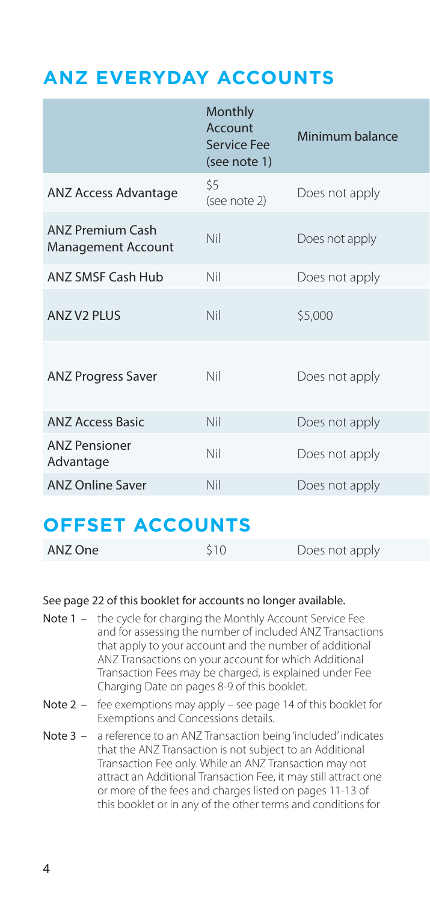### <span id="page-3-0"></span>**ANZ EVERYDAY ACCOUNTS**

|                                               | Monthly<br>Account<br><b>Service Fee</b><br>(see note 1) | Minimum balance |
|-----------------------------------------------|----------------------------------------------------------|-----------------|
| ANZ Access Advantage                          | \$5<br>(see note 2)                                      | Does not apply  |
| <b>ANZ Premium Cash</b><br>Management Account | Nil                                                      | Does not apply  |
| <b>ANZ SMSF Cash Hub</b>                      | Nil                                                      | Does not apply  |
| <b>ANZ V2 PLUS</b>                            | <b>Nil</b>                                               | \$5,000         |
| <b>ANZ Progress Saver</b>                     | Nil                                                      | Does not apply  |
| <b>ANZ Access Basic</b>                       | Nil                                                      | Does not apply  |
| <b>ANZ Pensioner</b><br>Advantage             | Nil                                                      | Does not apply  |
| <b>ANZ Online Saver</b>                       | <b>Nil</b>                                               | Does not apply  |

### **OFFSET ACCOUNTS**

| ANZ One | 510 | Does not apply |  |
|---------|-----|----------------|--|
|---------|-----|----------------|--|

#### See page 22 of this booklet for accounts no longer available.

- Note 1 the cycle for charging the Monthly Account Service Fee and for assessing the number of included ANZ Transactions that apply to your account and the number of additional ANZ Transactions on your account for which Additional Transaction Fees may be charged, is explained under Fee Charging Date on pages 8-9 of this booklet.
- Note 2 fee exemptions may apply see page 14 of this booklet for Exemptions and Concessions details.
- Note 3 a reference to an ANZ Transaction being 'included' indicates that the ANZ Transaction is not subject to an Additional Transaction Fee only. While an ANZ Transaction may not attract an Additional Transaction Fee, it may still attract one or more of the fees and charges listed on pages 11-13 of this booklet or in any of the other terms and conditions for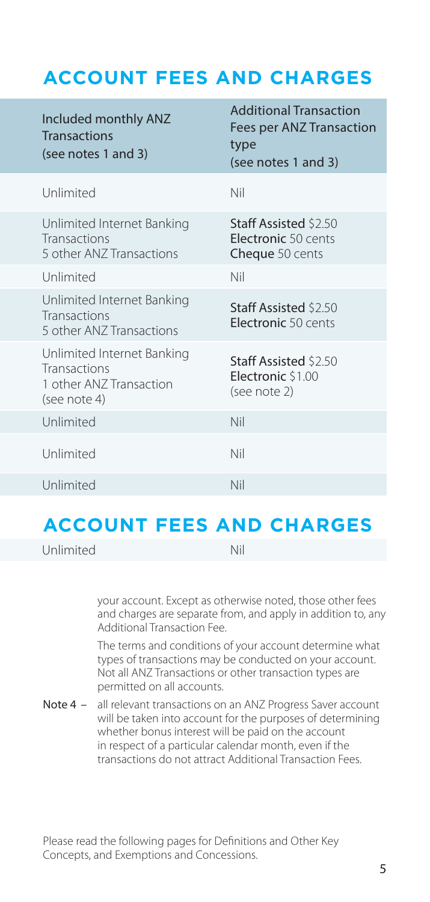### <span id="page-4-0"></span>**ACCOUNT FEES AND CHARGES**

| Included monthly ANZ<br><b>Transactions</b><br>(see notes 1 and 3)                    | <b>Additional Transaction</b><br>Fees per ANZ Transaction<br>type<br>(see notes 1 and 3) |
|---------------------------------------------------------------------------------------|------------------------------------------------------------------------------------------|
| Unlimited                                                                             | Nil                                                                                      |
| Unlimited Internet Banking<br><b>Transactions</b><br>5 other ANZ Transactions         | Staff Assisted \$2.50<br>Electronic 50 cents<br>Cheque 50 cents                          |
| Unlimited                                                                             | Nil                                                                                      |
| Unlimited Internet Banking<br>Transactions<br>5 other ANZ Transactions                | Staff Assisted \$2.50<br>Electronic 50 cents                                             |
| Unlimited Internet Banking<br>Transactions<br>1 other ANZ Transaction<br>(see note 4) | Staff Assisted \$2.50<br>Electronic \$1.00<br>(see note 2)                               |
| Unlimited                                                                             | Nil                                                                                      |
| Unlimited                                                                             | Nil                                                                                      |
| Unlimited                                                                             | Nil                                                                                      |

### **ACCOUNT FEES AND CHARGES**

ANZ One \$10 Does not apply Unlimited Nil

your account. Except as otherwise noted, those other fees and charges are separate from, and apply in addition to, any Additional Transaction Fee.

The terms and conditions of your account determine what types of transactions may be conducted on your account. Not all ANZ Transactions or other transaction types are permitted on all accounts.

Note 4 – all relevant transactions on an ANZ Progress Saver account will be taken into account for the purposes of determining whether bonus interest will be paid on the account in respect of a particular calendar month, even if the transactions do not attract Additional Transaction Fees.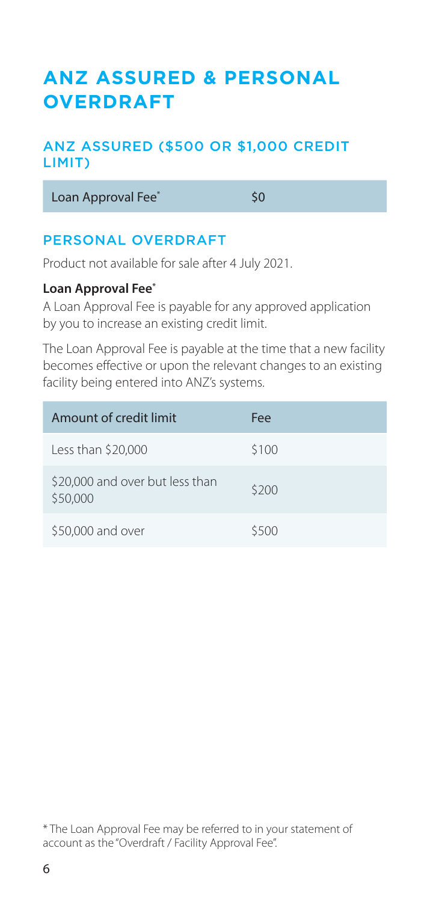### <span id="page-5-0"></span>**ANZ ASSURED & PERSONAL OVERDRAFT**

### ANZ ASSURED (\$500 OR \$1,000 CREDIT LIMIT)

Loan Approval Fee<sup>\*</sup> 50

### PERSONAL OVERDRAFT

Product not available for sale after 4 July 2021.

### **Loan Approval Fee\***

A Loan Approval Fee is payable for any approved application by you to increase an existing credit limit.

The Loan Approval Fee is payable at the time that a new facility becomes effective or upon the relevant changes to an existing facility being entered into ANZ's systems.

| Amount of credit limit                      | Fee   |
|---------------------------------------------|-------|
| Less than $$20,000$                         | \$100 |
| \$20,000 and over but less than<br>\$50,000 | \$200 |
| \$50,000 and over                           | \$500 |

\* The Loan Approval Fee may be referred to in your statement of account as the "Overdraft / Facility Approval Fee".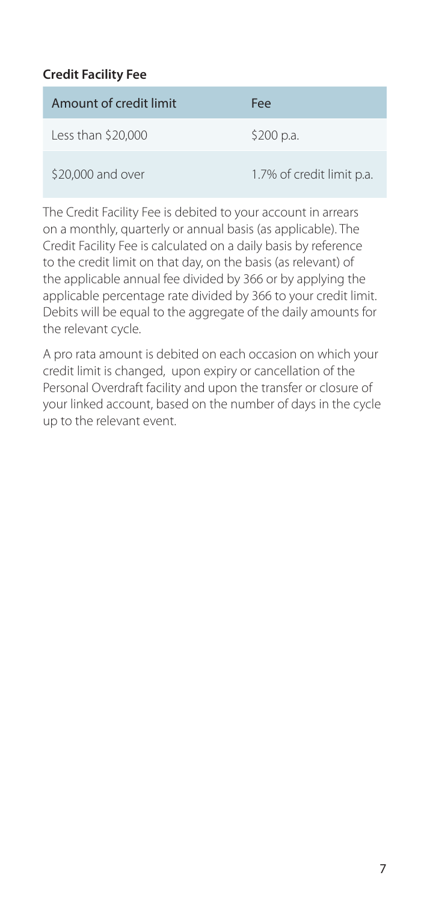### **Credit Facility Fee**

| Amount of credit limit | Fee                       |
|------------------------|---------------------------|
| Less than $$20,000$    | \$200 p.a.                |
| \$20,000 and over      | 1.7% of credit limit p.a. |

The Credit Facility Fee is debited to your account in arrears on a monthly, quarterly or annual basis (as applicable). The Credit Facility Fee is calculated on a daily basis by reference to the credit limit on that day, on the basis (as relevant) of the applicable annual fee divided by 366 or by applying the applicable percentage rate divided by 366 to your credit limit. Debits will be equal to the aggregate of the daily amounts for the relevant cycle.

A pro rata amount is debited on each occasion on which your credit limit is changed, upon expiry or cancellation of the Personal Overdraft facility and upon the transfer or closure of your linked account, based on the number of days in the cycle up to the relevant event.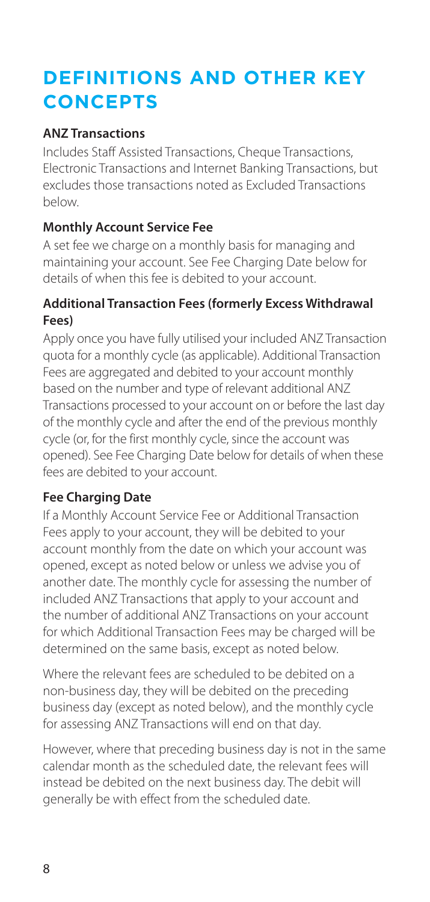# <span id="page-7-0"></span>**DEFINITIONS AND OTHER KEY CONCEPTS**

### **ANZ Transactions**

Includes Staff Assisted Transactions, Cheque Transactions, Electronic Transactions and Internet Banking Transactions, but excludes those transactions noted as Excluded Transactions below.

### **Monthly Account Service Fee**

A set fee we charge on a monthly basis for managing and maintaining your account. See Fee Charging Date below for details of when this fee is debited to your account.

### **Additional Transaction Fees (formerly Excess Withdrawal Fees)**

Apply once you have fully utilised your included ANZ Transaction quota for a monthly cycle (as applicable). Additional Transaction Fees are aggregated and debited to your account monthly based on the number and type of relevant additional ANZ Transactions processed to your account on or before the last day of the monthly cycle and after the end of the previous monthly cycle (or, for the first monthly cycle, since the account was opened). See Fee Charging Date below for details of when these fees are debited to your account.

### **Fee Charging Date**

If a Monthly Account Service Fee or Additional Transaction Fees apply to your account, they will be debited to your account monthly from the date on which your account was opened, except as noted below or unless we advise you of another date. The monthly cycle for assessing the number of included ANZ Transactions that apply to your account and the number of additional ANZ Transactions on your account for which Additional Transaction Fees may be charged will be determined on the same basis, except as noted below.

Where the relevant fees are scheduled to be debited on a non-business day, they will be debited on the preceding business day (except as noted below), and the monthly cycle for assessing ANZ Transactions will end on that day.

However, where that preceding business day is not in the same calendar month as the scheduled date, the relevant fees will instead be debited on the next business day. The debit will generally be with effect from the scheduled date.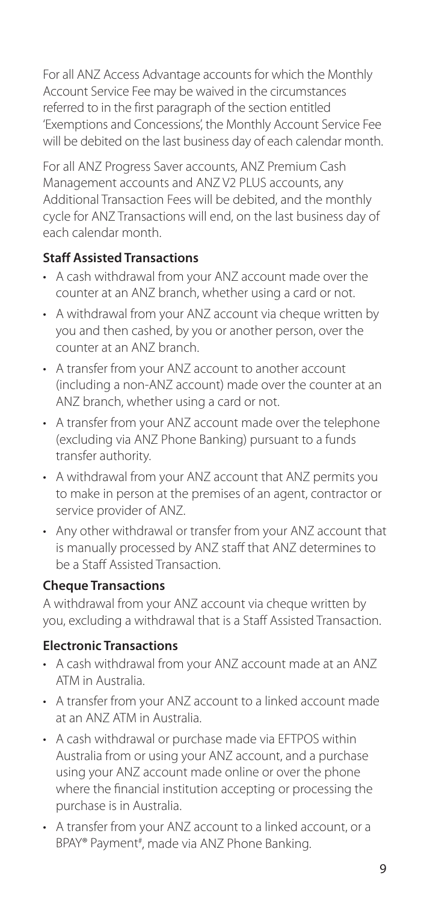For all ANZ Access Advantage accounts for which the Monthly Account Service Fee may be waived in the circumstances referred to in the first paragraph of the section entitled 'Exemptions and Concessions', the Monthly Account Service Fee will be debited on the last business day of each calendar month.

For all ANZ Progress Saver accounts, ANZ Premium Cash Management accounts and ANZ V2 PLUS accounts, any Additional Transaction Fees will be debited, and the monthly cycle for ANZ Transactions will end, on the last business day of each calendar month.

### **Staff Assisted Transactions**

- A cash withdrawal from your ANZ account made over the counter at an ANZ branch, whether using a card or not.
- A withdrawal from your ANZ account via cheque written by you and then cashed, by you or another person, over the counter at an ANZ branch.
- A transfer from your ANZ account to another account (including a non-ANZ account) made over the counter at an ANZ branch, whether using a card or not.
- A transfer from your ANZ account made over the telephone (excluding via ANZ Phone Banking) pursuant to a funds transfer authority.
- A withdrawal from your ANZ account that ANZ permits you to make in person at the premises of an agent, contractor or service provider of ANZ.
- Any other withdrawal or transfer from your ANZ account that is manually processed by ANZ staff that ANZ determines to be a Staff Assisted Transaction.

### **Cheque Transactions**

A withdrawal from your ANZ account via cheque written by you, excluding a withdrawal that is a Staff Assisted Transaction.

### **Electronic Transactions**

- A cash withdrawal from your ANZ account made at an ANZ ATM in Australia.
- A transfer from your ANZ account to a linked account made at an ANZ ATM in Australia.
- A cash withdrawal or purchase made via EFTPOS within Australia from or using your ANZ account, and a purchase using your ANZ account made online or over the phone where the financial institution accepting or processing the purchase is in Australia.
- A transfer from your ANZ account to a linked account, or a BPAY® Payment<sup>#</sup>, made via ANZ Phone Banking.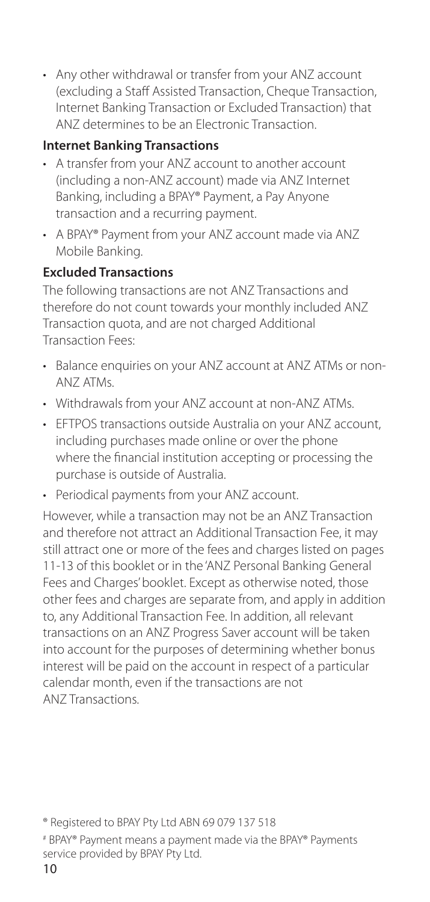• Any other withdrawal or transfer from your ANZ account (excluding a Staff Assisted Transaction, Cheque Transaction, Internet Banking Transaction or Excluded Transaction) that ANZ determines to be an Electronic Transaction.

### **Internet Banking Transactions**

- A transfer from your ANZ account to another account (including a non-ANZ account) made via ANZ Internet Banking, including a BPAY® Payment, a Pay Anyone transaction and a recurring payment.
- A BPAY® Payment from your ANZ account made via ANZ Mobile Banking.

### **Excluded Transactions**

The following transactions are not ANZ Transactions and therefore do not count towards your monthly included ANZ Transaction quota, and are not charged Additional Transaction Fees:

- Balance enquiries on your ANZ account at ANZ ATMs or non-ANZ ATMs.
- Withdrawals from your ANZ account at non-ANZ ATMs.
- **EFTPOS transactions outside Australia on your ANZ account.** including purchases made online or over the phone where the financial institution accepting or processing the purchase is outside of Australia.
- Periodical payments from your ANZ account.

However, while a transaction may not be an ANZ Transaction and therefore not attract an Additional Transaction Fee, it may still attract one or more of the fees and charges listed on pages 11-13 of this booklet or in the 'ANZ Personal Banking General Fees and Charges' booklet. Except as otherwise noted, those other fees and charges are separate from, and apply in addition to, any Additional Transaction Fee. In addition, all relevant transactions on an ANZ Progress Saver account will be taken into account for the purposes of determining whether bonus interest will be paid on the account in respect of a particular calendar month, even if the transactions are not ANZ Transactions.

<sup>®</sup> Registered to BPAY Pty Ltd ABN 69 079 137 518

<sup>#</sup> BPAY® Payment means a payment made via the BPAY® Payments service provided by BPAY Pty Ltd.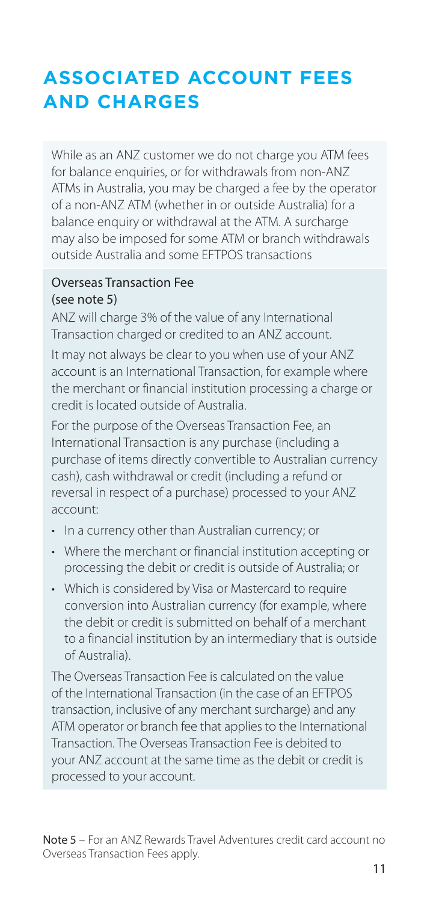# <span id="page-10-0"></span>**ASSOCIATED ACCOUNT FEES AND CHARGES**

While as an ANZ customer we do not charge you ATM fees for balance enquiries, or for withdrawals from non-ANZ ATMs in Australia, you may be charged a fee by the operator of a non-ANZ ATM (whether in or outside Australia) for a balance enquiry or withdrawal at the ATM. A surcharge may also be imposed for some ATM or branch withdrawals outside Australia and some EFTPOS transactions

#### Overseas Transaction Fee (see note 5)

ANZ will charge 3% of the value of any International Transaction charged or credited to an ANZ account.

It may not always be clear to you when use of your ANZ account is an International Transaction, for example where the merchant or financial institution processing a charge or credit is located outside of Australia.

For the purpose of the Overseas Transaction Fee, an International Transaction is any purchase (including a purchase of items directly convertible to Australian currency cash), cash withdrawal or credit (including a refund or reversal in respect of a purchase) processed to your ANZ account:

- In a currency other than Australian currency; or
- Where the merchant or financial institution accepting or processing the debit or credit is outside of Australia; or
- Which is considered by Visa or Mastercard to require conversion into Australian currency (for example, where the debit or credit is submitted on behalf of a merchant to a financial institution by an intermediary that is outside of Australia).

The Overseas Transaction Fee is calculated on the value of the International Transaction (in the case of an EFTPOS transaction, inclusive of any merchant surcharge) and any ATM operator or branch fee that applies to the International Transaction. The Overseas Transaction Fee is debited to your ANZ account at the same time as the debit or credit is processed to your account.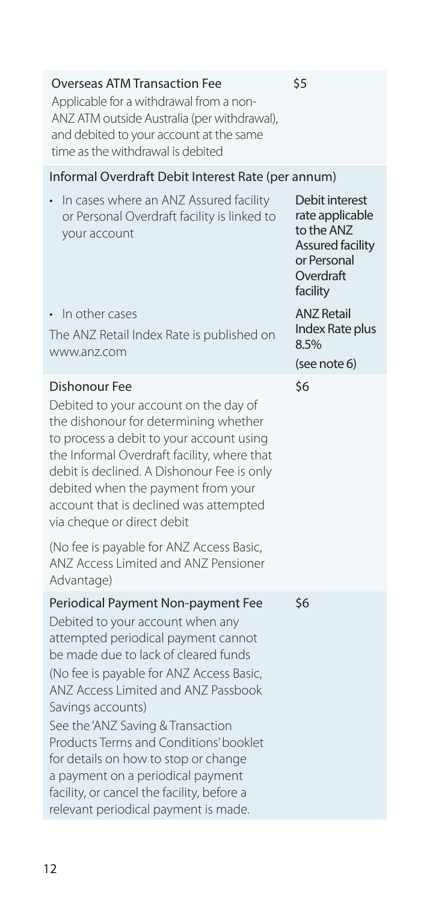| <b>Overseas ATM Transaction Fee</b><br>Applicable for a withdrawal from a non-<br>ANZ ATM outside Australia (per withdrawal),<br>and debited to your account at the same<br>time as the withdrawal is debited                                                                                                                                                                                                                                                                                                   | \$5                                                                                                         |
|-----------------------------------------------------------------------------------------------------------------------------------------------------------------------------------------------------------------------------------------------------------------------------------------------------------------------------------------------------------------------------------------------------------------------------------------------------------------------------------------------------------------|-------------------------------------------------------------------------------------------------------------|
| Informal Overdraft Debit Interest Rate (per annum)                                                                                                                                                                                                                                                                                                                                                                                                                                                              |                                                                                                             |
| In cases where an ANZ Assured facility<br>or Personal Overdraft facility is linked to<br>your account                                                                                                                                                                                                                                                                                                                                                                                                           | Debit interest<br>rate applicable<br>to the ANZ<br>Assured facility<br>or Personal<br>Overdraft<br>facility |
| • In other cases<br>The ANZ Retail Index Rate is published on<br>www.anz.com                                                                                                                                                                                                                                                                                                                                                                                                                                    | <b>ANZ Retail</b><br>Index Rate plus<br>8.5%                                                                |
|                                                                                                                                                                                                                                                                                                                                                                                                                                                                                                                 | (see note 6)                                                                                                |
| Dishonour Fee<br>Debited to your account on the day of<br>the dishonour for determining whether<br>to process a debit to your account using<br>the Informal Overdraft facility, where that<br>debit is declined. A Dishonour Fee is only<br>debited when the payment from your<br>account that is declined was attempted<br>via cheque or direct debit<br>(No fee is payable for ANZ Access Basic,<br>ANZ Access Limited and ANZ Pensioner<br>Advantage)                                                        | \$6                                                                                                         |
| Periodical Payment Non-payment Fee<br>Debited to your account when any<br>attempted periodical payment cannot<br>be made due to lack of cleared funds<br>(No fee is payable for ANZ Access Basic,<br>ANZ Access Limited and ANZ Passbook<br>Savings accounts)<br>See the 'ANZ Saving & Transaction<br>Products Terms and Conditions' booklet<br>for details on how to stop or change<br>a payment on a periodical payment<br>facility, or cancel the facility, before a<br>relevant periodical payment is made. | \$6                                                                                                         |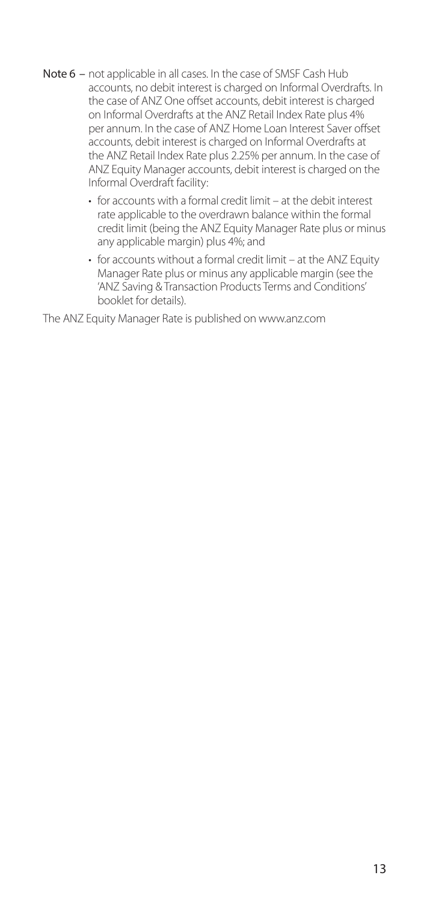- Note 6 not applicable in all cases. In the case of SMSF Cash Hub accounts, no debit interest is charged on Informal Overdrafts. In the case of ANZ One offset accounts, debit interest is charged on Informal Overdrafts at the ANZ Retail Index Rate plus 4% per annum. In the case of ANZ Home Loan Interest Saver offset accounts, debit interest is charged on Informal Overdrafts at the ANZ Retail Index Rate plus 2.25% per annum. In the case of ANZ Equity Manager accounts, debit interest is charged on the Informal Overdraft facility:
	- for accounts with a formal credit limit at the debit interest rate applicable to the overdrawn balance within the formal credit limit (being the ANZ Equity Manager Rate plus or minus any applicable margin) plus 4%; and
	- for accounts without a formal credit limit at the ANZ Equity Manager Rate plus or minus any applicable margin (see the 'ANZ Saving & Transaction Products Terms and Conditions' booklet for details).

The ANZ Equity Manager Rate is published on [www.anz.com](http://www.anz.com)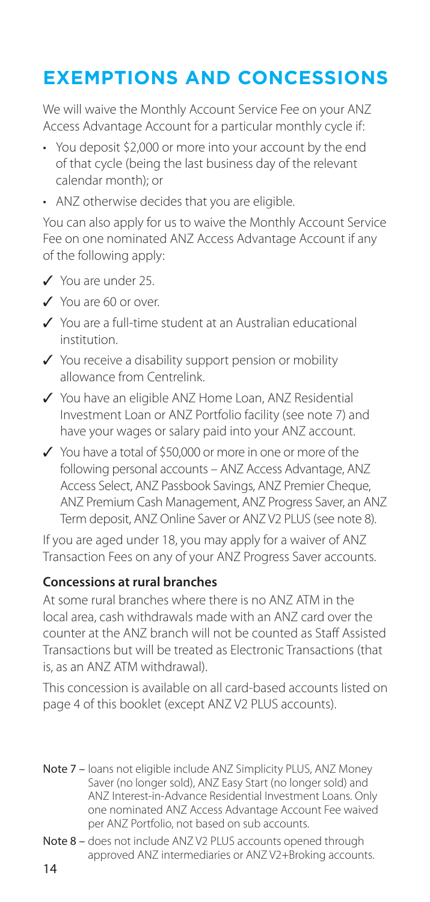## <span id="page-13-0"></span>**EXEMPTIONS AND CONCESSIONS**

We will waive the Monthly Account Service Fee on your ANZ Access Advantage Account for a particular monthly cycle if:

- You deposit \$2,000 or more into your account by the end of that cycle (being the last business day of the relevant calendar month); or
- ANZ otherwise decides that you are eligible.

You can also apply for us to waive the Monthly Account Service Fee on one nominated ANZ Access Advantage Account if any of the following apply:

- V You are under 25.
- Y You are 60 or over.
- 3 You are a full-time student at an Australian educational institution.
- $\checkmark$  You receive a disability support pension or mobility allowance from Centrelink.
- ✔ You have an eligible ANZ Home Loan, ANZ Residential Investment Loan or ANZ Portfolio facility (see note 7) and have your wages or salary paid into your ANZ account.
- $\checkmark$  You have a total of \$50,000 or more in one or more of the following personal accounts – ANZ Access Advantage, ANZ Access Select, ANZ Passbook Savings, ANZ Premier Cheque, ANZ Premium Cash Management, ANZ Progress Saver, an ANZ Term deposit, ANZ Online Saver or ANZ V2 PLUS (see note 8).

If you are aged under 18, you may apply for a waiver of ANZ Transaction Fees on any of your ANZ Progress Saver accounts.

### **Concessions at rural branches**

At some rural branches where there is no ANZ ATM in the local area, cash withdrawals made with an ANZ card over the counter at the ANZ branch will not be counted as Staff Assisted Transactions but will be treated as Electronic Transactions (that is, as an ANZ ATM withdrawal).

This concession is available on all card-based accounts listed on page 4 of this booklet (except ANZ V2 PLUS accounts).

- Note 7 loans not eligible include ANZ Simplicity PLUS, ANZ Money Saver (no longer sold), ANZ Easy Start (no longer sold) and ANZ Interest-in-Advance Residential Investment Loans. Only one nominated ANZ Access Advantage Account Fee waived per ANZ Portfolio, not based on sub accounts.
- Note 8 does not include ANZ V2 PLUS accounts opened through approved ANZ intermediaries or ANZ V2+Broking accounts.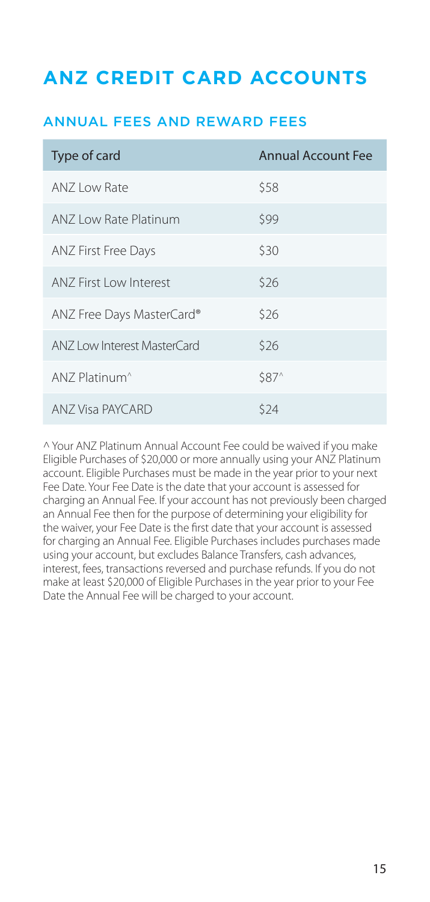### <span id="page-14-0"></span>**ANZ CREDIT CARD ACCOUNTS**

### ANNUAL FEES AND REWARD FEES

| Type of card                | <b>Annual Account Fee</b> |
|-----------------------------|---------------------------|
| ANZ Low Rate                | \$58                      |
| ANZ Low Rate Platinum       | \$99                      |
| ANZ First Free Days         | \$30                      |
| ANZ First Low Interest      | \$26                      |
| ANZ Free Days MasterCard®   | \$26                      |
| ANZ Low Interest MasterCard | \$26                      |
| ANZ Platinum <sup>^</sup>   | \$87 <sup>^</sup>         |
| ANZ Visa PAYCARD            | \$24                      |

^Your ANZ Platinum Annual Account Fee could be waived if you make Eligible Purchases of \$20,000 or more annually using your ANZ Platinum account. Eligible Purchases must be made in the year prior to your next Fee Date. Your Fee Date is the date that your account is assessed for charging an Annual Fee. If your account has not previously been charged an Annual Fee then for the purpose of determining your eligibility for the waiver, your Fee Date is the first date that your account is assessed for charging an Annual Fee. Eligible Purchases includes purchases made using your account, but excludes Balance Transfers, cash advances, interest, fees, transactions reversed and purchase refunds. If you do not make at least \$20,000 of Eligible Purchases in the year prior to your Fee Date the Annual Fee will be charged to your account.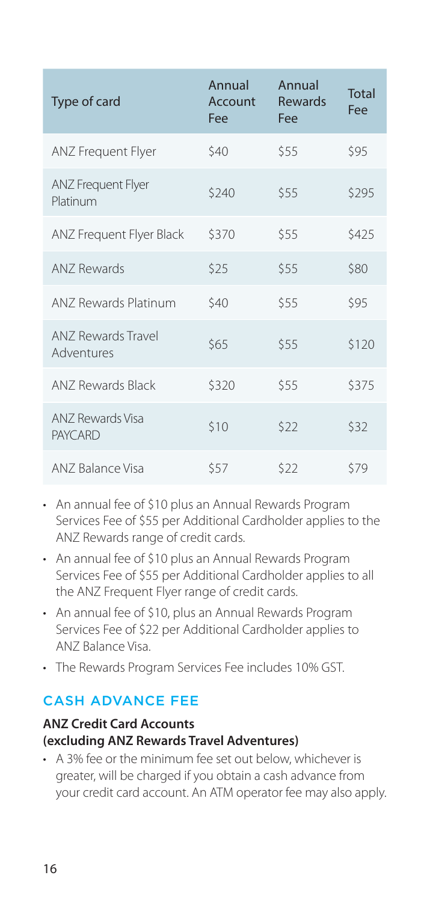<span id="page-15-0"></span>

| Type of card                            | Annual<br>Account<br>Fee | Annual<br>Rewards<br>Fee | Total<br>Fee |
|-----------------------------------------|--------------------------|--------------------------|--------------|
| <b>ANZ Frequent Flyer</b>               | \$40                     | \$55                     | \$95         |
| <b>ANZ Frequent Flyer</b><br>Platinum   | \$240                    | \$55                     | \$295        |
| ANZ Frequent Flyer Black                | \$370                    | \$55                     | \$425        |
| ANZ Rewards                             | \$25                     | \$55                     | \$80         |
| ANZ Rewards Platinum                    | \$40                     | \$55                     | \$95         |
| <b>ANZ Rewards Travel</b><br>Adventures | \$65                     | \$55                     | \$120        |
| <b>ANZ Rewards Black</b>                | \$320                    | \$55                     | \$375        |
| ANZ Rewards Visa<br><b>PAYCARD</b>      | \$10                     | \$22                     | \$32         |
| ANZ Balance Visa                        | \$57                     | \$22                     | \$79         |

- An annual fee of \$10 plus an Annual Rewards Program Services Fee of \$55 per Additional Cardholder applies to the ANZ Rewards range of credit cards.
- An annual fee of \$10 plus an Annual Rewards Program Services Fee of \$55 per Additional Cardholder applies to all the ANZ Frequent Flyer range of credit cards.
- An annual fee of \$10, plus an Annual Rewards Program Services Fee of \$22 per Additional Cardholder applies to ANZ Balance Visa.
- The Rewards Program Services Fee includes 10% GST.

### CASH ADVANCE FEE

### **ANZ Credit Card Accounts (excluding ANZ Rewards Travel Adventures)**

• A 3% fee or the minimum fee set out below, whichever is greater, will be charged if you obtain a cash advance from your credit card account. An ATM operator fee may also apply.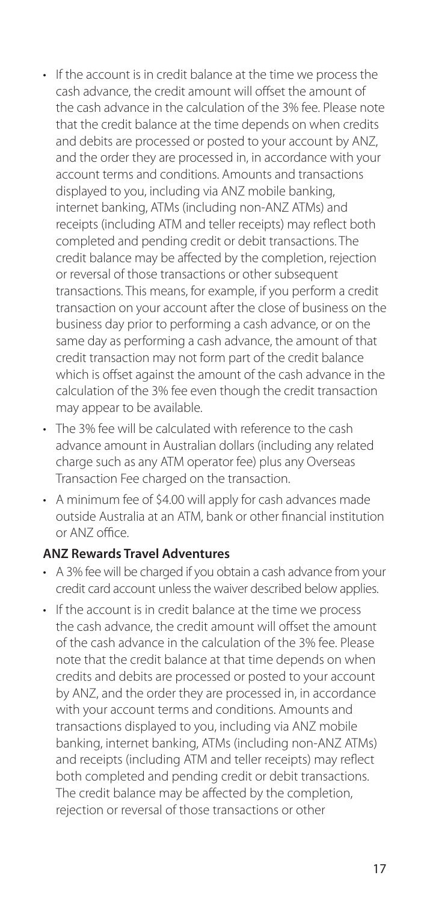- If the account is in credit balance at the time we process the cash advance, the credit amount will offset the amount of the cash advance in the calculation of the 3% fee. Please note that the credit balance at the time depends on when credits and debits are processed or posted to your account by ANZ, and the order they are processed in, in accordance with your account terms and conditions. Amounts and transactions displayed to you, including via ANZ mobile banking, internet banking, ATMs (including non-ANZ ATMs) and receipts (including ATM and teller receipts) may reflect both completed and pending credit or debit transactions. The credit balance may be affected by the completion, rejection or reversal of those transactions or other subsequent transactions. This means, for example, if you perform a credit transaction on your account after the close of business on the business day prior to performing a cash advance, or on the same day as performing a cash advance, the amount of that credit transaction may not form part of the credit balance which is offset against the amount of the cash advance in the calculation of the 3% fee even though the credit transaction may appear to be available.
- The 3% fee will be calculated with reference to the cash advance amount in Australian dollars (including any related charge such as any ATM operator fee) plus any Overseas Transaction Fee charged on the transaction.
- A minimum fee of \$4.00 will apply for cash advances made outside Australia at an ATM, bank or other financial institution or ANZ office.

### **ANZ Rewards Travel Adventures**

- A 3% fee will be charged if you obtain a cash advance from your credit card account unless the waiver described below applies.
- If the account is in credit balance at the time we process the cash advance, the credit amount will offset the amount of the cash advance in the calculation of the 3% fee. Please note that the credit balance at that time depends on when credits and debits are processed or posted to your account by ANZ, and the order they are processed in, in accordance with your account terms and conditions. Amounts and transactions displayed to you, including via ANZ mobile banking, internet banking, ATMs (including non-ANZ ATMs) and receipts (including ATM and teller receipts) may reflect both completed and pending credit or debit transactions. The credit balance may be affected by the completion, rejection or reversal of those transactions or other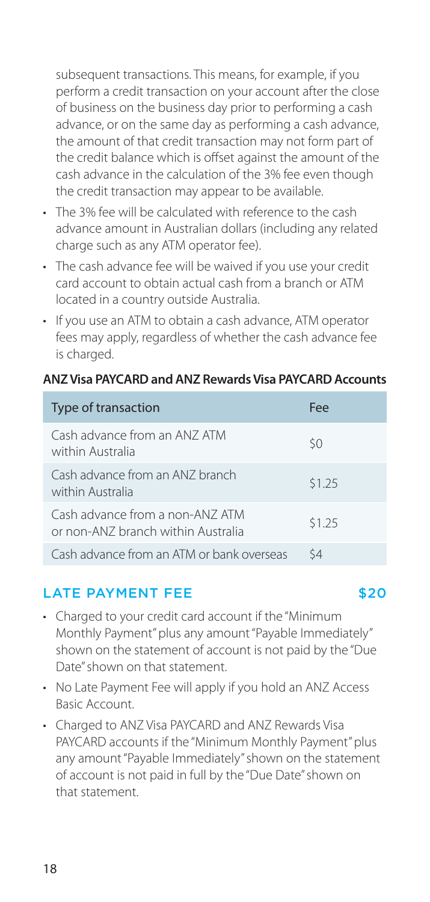<span id="page-17-0"></span>subsequent transactions. This means, for example, if you perform a credit transaction on your account after the close of business on the business day prior to performing a cash advance, or on the same day as performing a cash advance, the amount of that credit transaction may not form part of the credit balance which is offset against the amount of the cash advance in the calculation of the 3% fee even though the credit transaction may appear to be available.

- The 3% fee will be calculated with reference to the cash advance amount in Australian dollars (including any related charge such as any ATM operator fee).
- The cash advance fee will be waived if you use your credit card account to obtain actual cash from a branch or ATM located in a country outside Australia.
- If you use an ATM to obtain a cash advance, ATM operator fees may apply, regardless of whether the cash advance fee is charged.

#### **ANZ Visa PAYCARD and ANZ Rewards Visa PAYCARD Accounts**

| Type of transaction                                                   | Fee    |
|-----------------------------------------------------------------------|--------|
| Cash advance from an ANZ ATM<br>within Australia                      | \$0    |
| Cash advance from an ANZ branch<br>within Australia                   | \$1.25 |
| Cash advance from a non-ANZ ATM<br>or non-ANZ branch within Australia | \$1.25 |
| Cash advance from an ATM or bank overseas                             | ς4     |

### LATE PAYMENT FFE \$20

- Charged to your credit card account if the "Minimum Monthly Payment" plus any amount "Payable Immediately" shown on the statement of account is not paid by the "Due Date" shown on that statement.
- No Late Payment Fee will apply if you hold an ANZ Access Basic Account.
- Charged to ANZ Visa PAYCARD and ANZ Rewards Visa PAYCARD accounts if the "Minimum Monthly Payment" plus any amount "Payable Immediately" shown on the statement of account is not paid in full by the "Due Date" shown on that statement.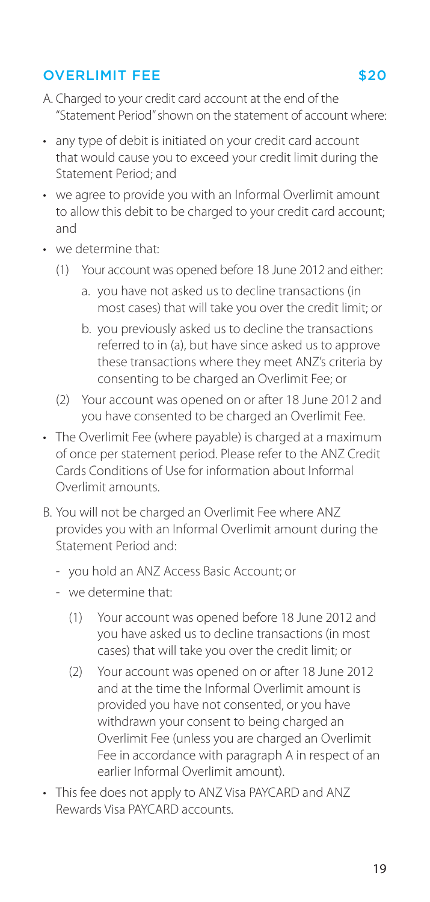### <span id="page-18-0"></span>OVERLIMIT FEE \$20

- A. Charged to your credit card account at the end of the "Statement Period" shown on the statement of account where:
- any type of debit is initiated on your credit card account that would cause you to exceed your credit limit during the Statement Period; and
- we agree to provide you with an Informal Overlimit amount to allow this debit to be charged to your credit card account; and
- we determine that:
	- (1) Your account was opened before 18 June 2012 and either:
		- a. you have not asked us to decline transactions (in most cases) that will take you over the credit limit; or
		- b. you previously asked us to decline the transactions referred to in (a), but have since asked us to approve these transactions where they meet ANZ's criteria by consenting to be charged an Overlimit Fee; or
	- (2) Your account was opened on or after 18 June 2012 and you have consented to be charged an Overlimit Fee.
- The Overlimit Fee (where payable) is charged at a maximum of once per statement period. Please refer to the ANZ Credit Cards Conditions of Use for information about Informal Overlimit amounts.
- B. You will not be charged an Overlimit Fee where ANZ provides you with an Informal Overlimit amount during the Statement Period and:
	- you hold an ANZ Access Basic Account; or
	- we determine that:
		- (1) Your account was opened before 18 June 2012 and you have asked us to decline transactions (in most cases) that will take you over the credit limit; or
		- (2) Your account was opened on or after 18 June 2012 and at the time the Informal Overlimit amount is provided you have not consented, or you have withdrawn your consent to being charged an Overlimit Fee (unless you are charged an Overlimit Fee in accordance with paragraph A in respect of an earlier Informal Overlimit amount).
- This fee does not apply to ANZ Visa PAYCARD and ANZ Rewards Visa PAYCARD accounts.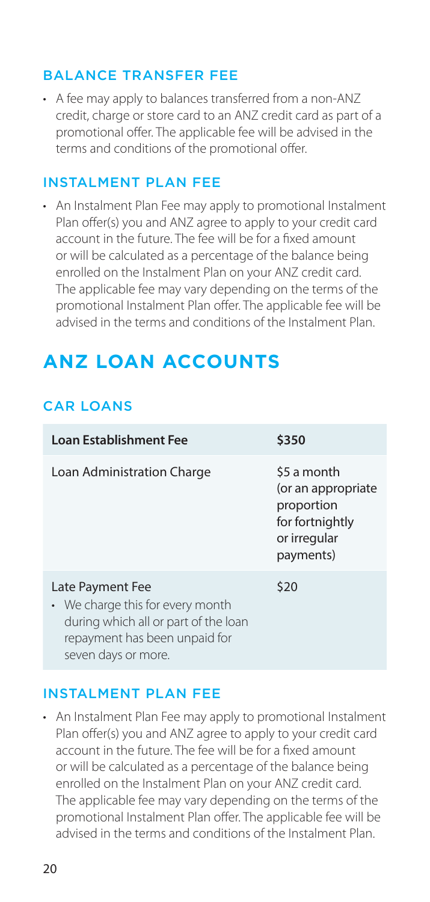### <span id="page-19-0"></span>BALANCE TRANSFER FEE

• A fee may apply to balances transferred from a non-ANZ credit, charge or store card to an ANZ credit card as part of a promotional offer. The applicable fee will be advised in the terms and conditions of the promotional offer.

### INSTALMENT PLAN FEE

• An Instalment Plan Fee may apply to promotional Instalment Plan offer(s) you and ANZ agree to apply to your credit card account in the future. The fee will be for a fixed amount or will be calculated as a percentage of the balance being enrolled on the Instalment Plan on your ANZ credit card. The applicable fee may vary depending on the terms of the promotional Instalment Plan offer. The applicable fee will be advised in the terms and conditions of the Instalment Plan.

# **ANZ LOAN ACCOUNTS**

### CAR LOANS

| <b>Loan Establishment Fee</b>                                                                                                                        | \$350                                                                                           |
|------------------------------------------------------------------------------------------------------------------------------------------------------|-------------------------------------------------------------------------------------------------|
| Loan Administration Charge                                                                                                                           | \$5 a month<br>(or an appropriate<br>proportion<br>for fortnightly<br>or irregular<br>payments) |
| Late Payment Fee<br>• We charge this for every month<br>during which all or part of the loan<br>repayment has been unpaid for<br>seven days or more. | \$20                                                                                            |

### INSTALMENT PLAN FEE

• An Instalment Plan Fee may apply to promotional Instalment Plan offer(s) you and ANZ agree to apply to your credit card account in the future. The fee will be for a fixed amount or will be calculated as a percentage of the balance being enrolled on the Instalment Plan on your ANZ credit card. The applicable fee may vary depending on the terms of the promotional Instalment Plan offer. The applicable fee will be advised in the terms and conditions of the Instalment Plan.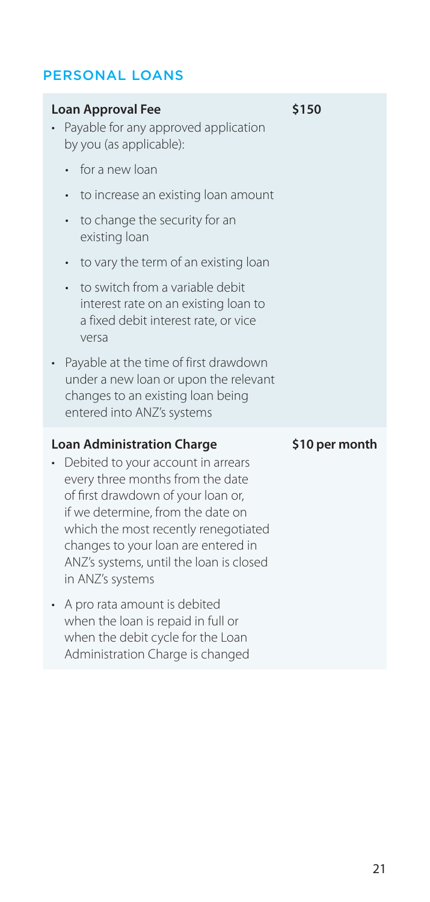### <span id="page-20-0"></span>PERSONAL LOANS

### **Loan Approval Fee**  • Payable for any approved application by you (as applicable): • for a new loan • to increase an existing loan amount • to change the security for an existing loan • to vary the term of an existing loan • to switch from a variable debit interest rate on an existing loan to a fixed debit interest rate, or vice versa • Payable at the time of first drawdown under a new loan or upon the relevant changes to an existing loan being entered into ANZ's systems **\$150 Loan Administration Charge**  • Debited to your account in arrears every three months from the date of first drawdown of your loan or, if we determine, from the date on which the most recently renegotiated **\$10 per month**

changes to your loan are entered in ANZ's systems, until the loan is closed

in ANZ's systems

• A pro rata amount is debited when the loan is repaid in full or when the debit cycle for the Loan Administration Charge is changed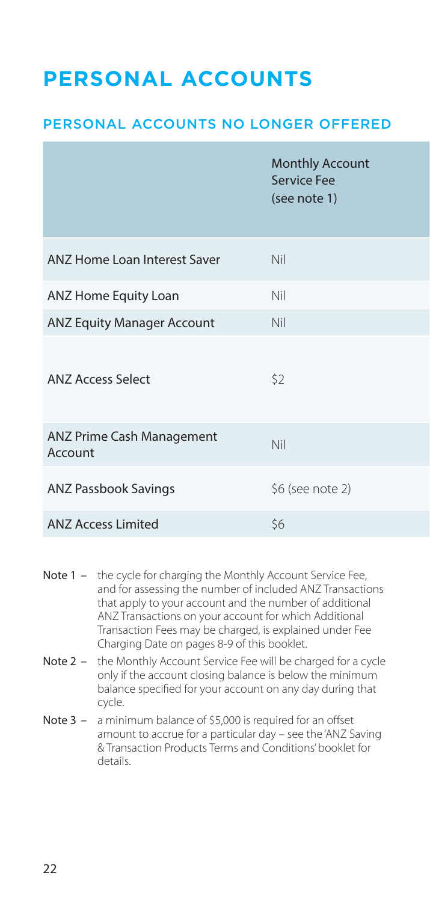# <span id="page-21-0"></span>**PERSONAL ACCOUNTS**

### PERSONAL ACCOUNTS NO LONGER OFFERED

|                                      | <b>Monthly Account</b><br><b>Service Fee</b><br>(see note 1) |
|--------------------------------------|--------------------------------------------------------------|
| ANZ Home Loan Interest Saver         | <b>Nil</b>                                                   |
| ANZ Home Equity Loan                 | Nil                                                          |
| <b>ANZ Equity Manager Account</b>    | Nil                                                          |
| <b>ANZ Access Select</b>             | \$2                                                          |
| ANZ Prime Cash Management<br>Account | Nil                                                          |
| <b>ANZ Passbook Savings</b>          | \$6 (see note 2)                                             |
| <b>ANZ Access Limited</b>            | \$6                                                          |

- Note 1 the cycle for charging the Monthly Account Service Fee, and for assessing the number of included ANZ Transactions that apply to your account and the number of additional ANZ Transactions on your account for which Additional Transaction Fees may be charged, is explained under Fee Charging Date on pages 8-9 of this booklet.
- Note 2 the Monthly Account Service Fee will be charged for a cycle only if the account closing balance is below the minimum balance specified for your account on any day during that cycle.
- Note 3 a minimum balance of \$5,000 is required for an offset amount to accrue for a particular day – see the 'ANZ Saving & Transaction Products Terms and Conditions' booklet for details.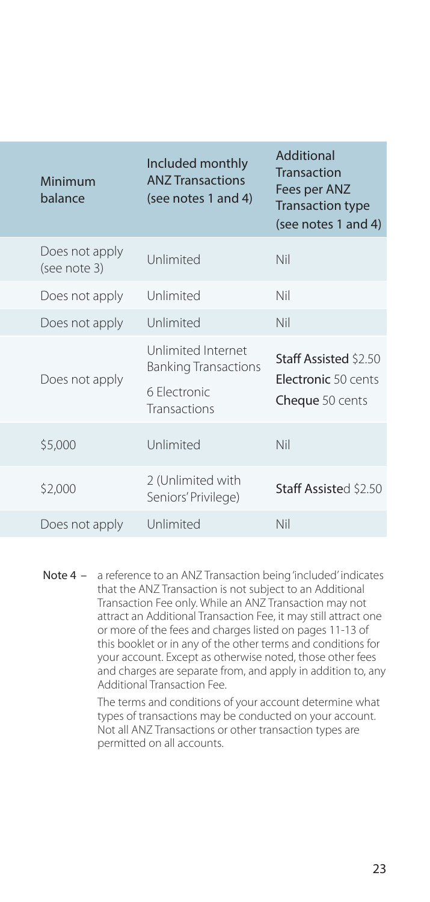| <b>Minimum</b><br>balance      | Included monthly<br><b>ANZ Transactions</b><br>(see notes 1 and 4)                | Additional<br>Transaction<br>Fees per ANZ<br><b>Transaction type</b><br>(see notes 1 and 4) |
|--------------------------------|-----------------------------------------------------------------------------------|---------------------------------------------------------------------------------------------|
| Does not apply<br>(see note 3) | Unlimited                                                                         | <b>Nil</b>                                                                                  |
| Does not apply                 | Unlimited                                                                         | Nil                                                                                         |
| Does not apply                 | Unlimited                                                                         | <b>Nil</b>                                                                                  |
| Does not apply                 | Unlimited Internet<br><b>Banking Transactions</b><br>6 Electronic<br>Transactions | Staff Assisted \$2.50<br>Electronic 50 cents<br>Cheque 50 cents                             |
| \$5,000                        | Unlimited                                                                         | Nil                                                                                         |
| \$2,000                        | 2 (Unlimited with<br>Seniors' Privilege)                                          | Staff Assisted \$2.50                                                                       |
| Does not apply                 | Unlimited                                                                         | Nil                                                                                         |

Note 4 – a reference to an ANZ Transaction being 'included' indicates that the ANZ Transaction is not subject to an Additional Transaction Fee only. While an ANZ Transaction may not attract an Additional Transaction Fee, it may still attract one or more of the fees and charges listed on pages 11-13 of this booklet or in any of the other terms and conditions for your account. Except as otherwise noted, those other fees and charges are separate from, and apply in addition to, any Additional Transaction Fee.

> The terms and conditions of your account determine what types of transactions may be conducted on your account. Not all ANZ Transactions or other transaction types are permitted on all accounts.